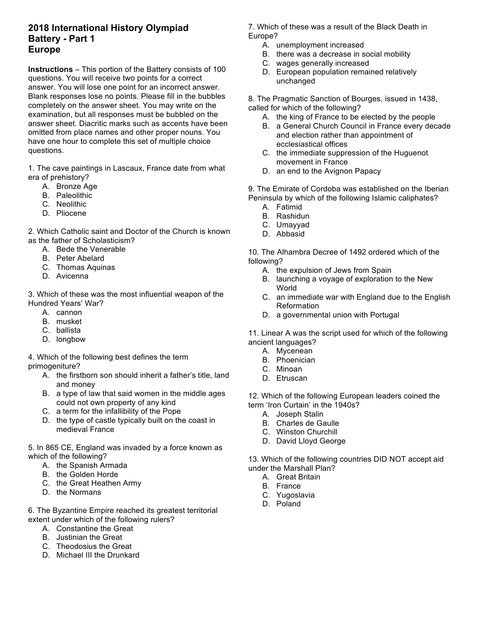## **2018 International History Olympiad Battery - Part 1 Europe**

**Instructions** – This portion of the Battery consists of 100 questions. You will receive two points for a correct answer. You will lose one point for an incorrect answer. Blank responses lose no points. Please fill in the bubbles completely on the answer sheet. You may write on the examination, but all responses must be bubbled on the answer sheet. Diacritic marks such as accents have been omitted from place names and other proper nouns. You have one hour to complete this set of multiple choice questions.

1. The cave paintings in Lascaux, France date from what era of prehistory?

- A. Bronze Age
- B. Paleolithic
- C. Neolithic
- D. Pliocene

2. Which Catholic saint and Doctor of the Church is known as the father of Scholasticism?

- A. Bede the Venerable
- B. Peter Abelard
- C. Thomas Aquinas
- D. Avicenna

3. Which of these was the most influential weapon of the Hundred Years' War?

- A. cannon
- B. musket
- C. ballista
- D. longbow

4. Which of the following best defines the term primogeniture?

- A. the firstborn son should inherit a father's title, land and money
- B. a type of law that said women in the middle ages could not own property of any kind
- C. a term for the infallibility of the Pope
- D. the type of castle typically built on the coast in medieval France

5. In 865 CE, England was invaded by a force known as which of the following?

- A. the Spanish Armada
- B. the Golden Horde
- C. the Great Heathen Army
- D. the Normans

6. The Byzantine Empire reached its greatest territorial extent under which of the following rulers?

- A. Constantine the Great
- B. Justinian the Great
- C. Theodosius the Great
- D. Michael III the Drunkard

7. Which of these was a result of the Black Death in Europe?

- A. unemployment increased
- B. there was a decrease in social mobility
- C. wages generally increased
- D. European population remained relatively unchanged

8. The Pragmatic Sanction of Bourges, issued in 1438, called for which of the following?

- A. the king of France to be elected by the people
- B. a General Church Council in France every decade and election rather than appointment of ecclesiastical offices
- C. the immediate suppression of the Huguenot movement in France
- D. an end to the Avignon Papacy

9. The Emirate of Cordoba was established on the Iberian Peninsula by which of the following Islamic caliphates?

- A. Fatimid
- B. Rashidun
- C. Umayyad
- D. Abbasid

10. The Alhambra Decree of 1492 ordered which of the following?

- A. the expulsion of Jews from Spain
- B. launching a voyage of exploration to the New World
- C. an immediate war with England due to the English **Reformation**
- D. a governmental union with Portugal

11. Linear A was the script used for which of the following ancient languages?

- A. Mycenean
- B. Phoenician
- C. Minoan
- D. Etruscan

12. Which of the following European leaders coined the term 'Iron Curtain' in the 1940s?

- A. Joseph Stalin
- B. Charles de Gaulle
- C. Winston Churchill
- D. David Lloyd George

13. Which of the following countries DID NOT accept aid under the Marshall Plan?

- A. Great Britain
- B. France
- C. Yugoslavia
- D. Poland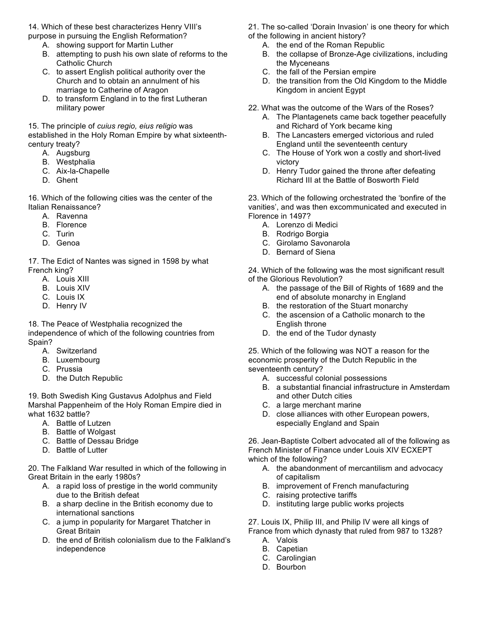14. Which of these best characterizes Henry VIII's purpose in pursuing the English Reformation?

- A. showing support for Martin Luther
- B. attempting to push his own slate of reforms to the Catholic Church
- C. to assert English political authority over the Church and to obtain an annulment of his marriage to Catherine of Aragon
- D. to transform England in to the first Lutheran military power

15. The principle of *cuius regio, eius religio* was established in the Holy Roman Empire by what sixteenthcentury treaty?

- A. Augsburg
- B. Westphalia
- C. Aix-la-Chapelle
- D. Ghent

16. Which of the following cities was the center of the Italian Renaissance?

- A. Ravenna
- B. Florence
- C. Turin
- D. Genoa

17. The Edict of Nantes was signed in 1598 by what French king?

- A. Louis XIII
- B. Louis XIV
- C. Louis IX
- D. Henry IV

18. The Peace of Westphalia recognized the independence of which of the following countries from Spain?

- A. Switzerland
- B. Luxembourg
- C. Prussia
- D. the Dutch Republic

19. Both Swedish King Gustavus Adolphus and Field Marshal Pappenheim of the Holy Roman Empire died in what 1632 battle?

- A. Battle of Lutzen
- B. Battle of Wolgast
- C. Battle of Dessau Bridge
- D. Battle of Lutter

20. The Falkland War resulted in which of the following in Great Britain in the early 1980s?

- A. a rapid loss of prestige in the world community due to the British defeat
- B. a sharp decline in the British economy due to international sanctions
- C. a jump in popularity for Margaret Thatcher in Great Britain
- D. the end of British colonialism due to the Falkland's independence

21. The so-called 'Dorain Invasion' is one theory for which of the following in ancient history?

- A. the end of the Roman Republic
- B. the collapse of Bronze-Age civilizations, including the Myceneans
- C. the fall of the Persian empire
- D. the transition from the Old Kingdom to the Middle Kingdom in ancient Egypt
- 22. What was the outcome of the Wars of the Roses?
	- A. The Plantagenets came back together peacefully and Richard of York became king
	- B. The Lancasters emerged victorious and ruled England until the seventeenth century
	- C. The House of York won a costly and short-lived victory
	- D. Henry Tudor gained the throne after defeating Richard III at the Battle of Bosworth Field

23. Which of the following orchestrated the 'bonfire of the vanities', and was then excommunicated and executed in Florence in 1497?

- A. Lorenzo di Medici
- B. Rodrigo Borgia
- C. Girolamo Savonarola
- D. Bernard of Siena

24. Which of the following was the most significant result of the Glorious Revolution?

- A. the passage of the Bill of Rights of 1689 and the end of absolute monarchy in England
- B. the restoration of the Stuart monarchy
- C. the ascension of a Catholic monarch to the English throne
- D. the end of the Tudor dynasty

25. Which of the following was NOT a reason for the economic prosperity of the Dutch Republic in the seventeenth century?

- A. successful colonial possessions
- B. a substantial financial infrastructure in Amsterdam and other Dutch cities
- C. a large merchant marine
- D. close alliances with other European powers, especially England and Spain

26. Jean-Baptiste Colbert advocated all of the following as French Minister of Finance under Louis XIV ECXEPT which of the following?

- A. the abandonment of mercantilism and advocacy of capitalism
- B. improvement of French manufacturing
- C. raising protective tariffs
- D. instituting large public works projects

27. Louis IX, Philip III, and Philip IV were all kings of

France from which dynasty that ruled from 987 to 1328? A. Valois

- B. Capetian
- C. Carolingian
- D. Bourbon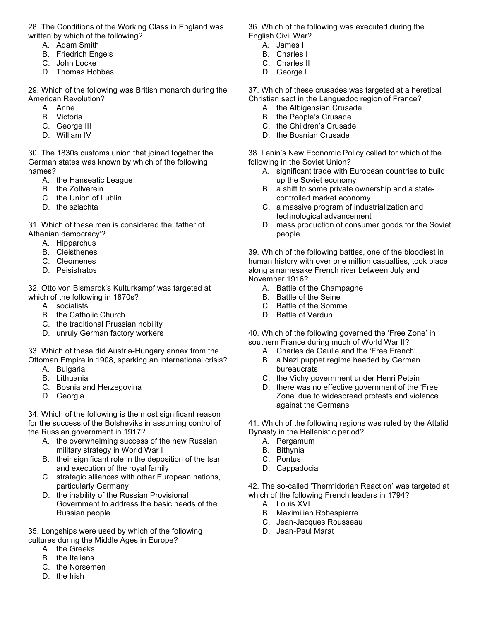28. The Conditions of the Working Class in England was written by which of the following?

- A. Adam Smith
- B. Friedrich Engels
- C. John Locke
- D. Thomas Hobbes

29. Which of the following was British monarch during the American Revolution?

- A. Anne
- B. Victoria
- C. George III
- D. William IV

30. The 1830s customs union that joined together the German states was known by which of the following names?

- A. the Hanseatic League
- B. the Zollverein
- C. the Union of Lublin
- D. the szlachta

31. Which of these men is considered the 'father of Athenian democracy'?

- A. Hipparchus
- B. Cleisthenes
- C. Cleomenes
- D. Peisistratos

32. Otto von Bismarck's Kulturkampf was targeted at which of the following in 1870s?

- A. socialists
- B. the Catholic Church
- C. the traditional Prussian nobility
- D. unruly German factory workers

33. Which of these did Austria-Hungary annex from the Ottoman Empire in 1908, sparking an international crisis?

- A. Bulgaria
- B. Lithuania
- C. Bosnia and Herzegovina
- D. Georgia

34. Which of the following is the most significant reason for the success of the Bolsheviks in assuming control of the Russian government in 1917?

- A. the overwhelming success of the new Russian military strategy in World War I
- B. their significant role in the deposition of the tsar and execution of the royal family
- C. strategic alliances with other European nations, particularly Germany
- D. the inability of the Russian Provisional Government to address the basic needs of the Russian people

35. Longships were used by which of the following cultures during the Middle Ages in Europe?

- A. the Greeks
- B. the Italians
- C. the Norsemen
- D. the Irish

36. Which of the following was executed during the English Civil War?

- A. James I
- B. Charles I
- C. Charles II
- D. George I

37. Which of these crusades was targeted at a heretical Christian sect in the Languedoc region of France?

- A. the Albigensian Crusade
- B. the People's Crusade
- C. the Children's Crusade
- D. the Bosnian Crusade

38. Lenin's New Economic Policy called for which of the following in the Soviet Union?

- A. significant trade with European countries to build up the Soviet economy
- B. a shift to some private ownership and a statecontrolled market economy
- C. a massive program of industrialization and technological advancement
- D. mass production of consumer goods for the Soviet people

39. Which of the following battles, one of the bloodiest in human history with over one million casualties, took place along a namesake French river between July and November 1916?

- A. Battle of the Champagne
- B. Battle of the Seine
- C. Battle of the Somme
- D. Battle of Verdun

40. Which of the following governed the 'Free Zone' in southern France during much of World War II?

- A. Charles de Gaulle and the 'Free French'
- B. a Nazi puppet regime headed by German bureaucrats
- C. the Vichy government under Henri Petain
- D. there was no effective government of the 'Free Zone' due to widespread protests and violence against the Germans

41. Which of the following regions was ruled by the Attalid Dynasty in the Hellenistic period?

- A. Pergamum
- B. Bithynia
- C. Pontus
- D. Cappadocia

42. The so-called 'Thermidorian Reaction' was targeted at which of the following French leaders in 1794?

- A. Louis XVI
- B. Maximilien Robespierre
- C. Jean-Jacques Rousseau
- D. Jean-Paul Marat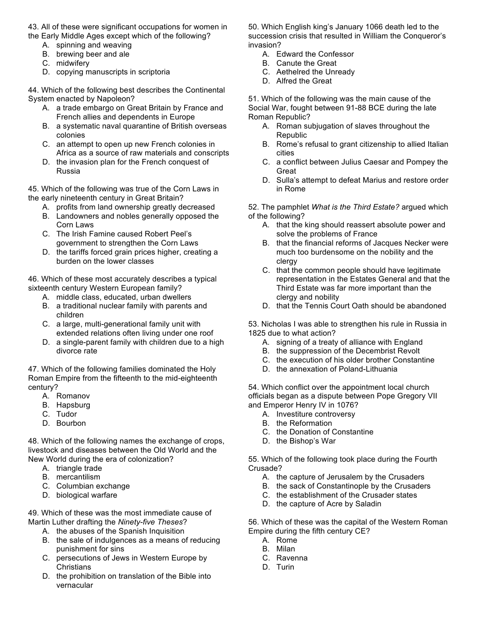- 43. All of these were significant occupations for women in the Early Middle Ages except which of the following?
	- A. spinning and weaving
	- B. brewing beer and ale
	- C. midwifery
	- D. copying manuscripts in scriptoria

44. Which of the following best describes the Continental System enacted by Napoleon?

- A. a trade embargo on Great Britain by France and French allies and dependents in Europe
- B. a systematic naval quarantine of British overseas colonies
- C. an attempt to open up new French colonies in Africa as a source of raw materials and conscripts
- D. the invasion plan for the French conquest of Russia

45. Which of the following was true of the Corn Laws in the early nineteenth century in Great Britain?

- A. profits from land ownership greatly decreased
- B. Landowners and nobles generally opposed the Corn Laws
- C. The Irish Famine caused Robert Peel's government to strengthen the Corn Laws
- D. the tariffs forced grain prices higher, creating a burden on the lower classes

46. Which of these most accurately describes a typical sixteenth century Western European family?

- A. middle class, educated, urban dwellers
- B. a traditional nuclear family with parents and children
- C. a large, multi-generational family unit with extended relations often living under one roof
- D. a single-parent family with children due to a high divorce rate

47. Which of the following families dominated the Holy Roman Empire from the fifteenth to the mid-eighteenth century?

- A. Romanov
- B. Hapsburg
- C. Tudor
- D. Bourbon

48. Which of the following names the exchange of crops, livestock and diseases between the Old World and the New World during the era of colonization?

- A. triangle trade
- B. mercantilism
- C. Columbian exchange
- D. biological warfare

49. Which of these was the most immediate cause of Martin Luther drafting the *Ninety-five Theses*?

- A. the abuses of the Spanish Inquisition
- B. the sale of indulgences as a means of reducing punishment for sins
- C. persecutions of Jews in Western Europe by **Christians**
- D. the prohibition on translation of the Bible into vernacular

50. Which English king's January 1066 death led to the succession crisis that resulted in William the Conqueror's invasion?

- A. Edward the Confessor
- B. Canute the Great
- C. Aethelred the Unready
- D. Alfred the Great

51. Which of the following was the main cause of the Social War, fought between 91-88 BCE during the late Roman Republic?

- A. Roman subjugation of slaves throughout the Republic
- B. Rome's refusal to grant citizenship to allied Italian cities
- C. a conflict between Julius Caesar and Pompey the Great
- D. Sulla's attempt to defeat Marius and restore order in Rome

52. The pamphlet *What is the Third Estate?* argued which of the following?

- A. that the king should reassert absolute power and solve the problems of France
- B. that the financial reforms of Jacques Necker were much too burdensome on the nobility and the clergy
- C. that the common people should have legitimate representation in the Estates General and that the Third Estate was far more important than the clergy and nobility
- D. that the Tennis Court Oath should be abandoned

53. Nicholas I was able to strengthen his rule in Russia in 1825 due to what action?

- A. signing of a treaty of alliance with England
- B. the suppression of the Decembrist Revolt
- C. the execution of his older brother Constantine
- D. the annexation of Poland-Lithuania

54. Which conflict over the appointment local church officials began as a dispute between Pope Gregory VII and Emperor Henry IV in 1076?

- A. Investiture controversy
- B. the Reformation
- C. the Donation of Constantine
- D. the Bishop's War

55. Which of the following took place during the Fourth Crusade?

- A. the capture of Jerusalem by the Crusaders
- B. the sack of Constantinople by the Crusaders
- C. the establishment of the Crusader states
- D. the capture of Acre by Saladin

56. Which of these was the capital of the Western Roman Empire during the fifth century CE?

- A. Rome
- B. Milan
- C. Ravenna
- D. Turin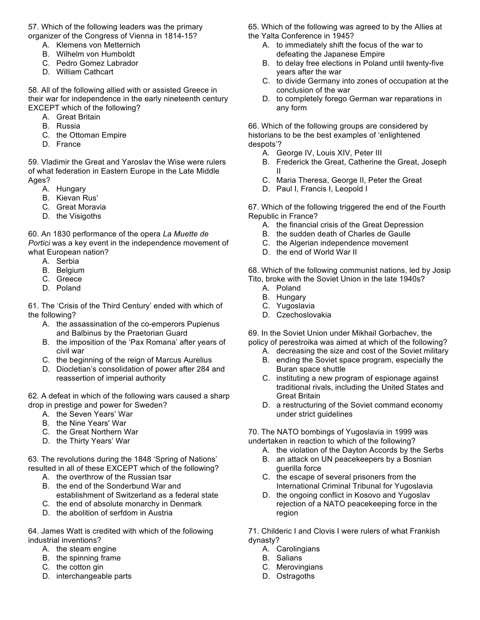57. Which of the following leaders was the primary organizer of the Congress of Vienna in 1814-15?

- A. Klemens von Metternich
- B. Wilhelm von Humboldt
- C. Pedro Gomez Labrador
- D. William Cathcart

58. All of the following allied with or assisted Greece in their war for independence in the early nineteenth century EXCEPT which of the following?

- A. Great Britain
- B. Russia
- C. the Ottoman Empire
- D. France

59. Vladimir the Great and Yaroslav the Wise were rulers of what federation in Eastern Europe in the Late Middle Ages?

- A. Hungary
- B. Kievan Rus'
- C. Great Moravia
- D. the Visigoths

60. An 1830 performance of the opera *La Muette de Portici* was a key event in the independence movement of what European nation?

- A. Serbia
- B. Belgium
- C. Greece
- D. Poland

61. The 'Crisis of the Third Century' ended with which of the following?

- A. the assassination of the co-emperors Pupienus and Balbinus by the Praetorian Guard
- B. the imposition of the 'Pax Romana' after years of civil war
- C. the beginning of the reign of Marcus Aurelius
- D. Diocletian's consolidation of power after 284 and reassertion of imperial authority

62. A defeat in which of the following wars caused a sharp drop in prestige and power for Sweden?

- A. the Seven Years' War
- B. the Nine Years' War
- C. the Great Northern War
- D. the Thirty Years' War

63. The revolutions during the 1848 'Spring of Nations' resulted in all of these EXCEPT which of the following?

- A. the overthrow of the Russian tsar
- B. the end of the Sonderbund War and establishment of Switzerland as a federal state
- C. the end of absolute monarchy in Denmark D. the abolition of serfdom in Austria

64. James Watt is credited with which of the following industrial inventions?

- A. the steam engine
- B. the spinning frame
- C. the cotton gin
- D. interchangeable parts

65. Which of the following was agreed to by the Allies at the Yalta Conference in 1945?

- A. to immediately shift the focus of the war to defeating the Japanese Empire
- B. to delay free elections in Poland until twenty-five years after the war
- C. to divide Germany into zones of occupation at the conclusion of the war
- D. to completely forego German war reparations in any form

66. Which of the following groups are considered by historians to be the best examples of 'enlightened despots'?

- A. George IV, Louis XIV, Peter III
- B. Frederick the Great, Catherine the Great, Joseph II
- C. Maria Theresa, George II, Peter the Great
- D. Paul I, Francis I, Leopold I

67. Which of the following triggered the end of the Fourth Republic in France?

- A. the financial crisis of the Great Depression
- B. the sudden death of Charles de Gaulle
- C. the Algerian independence movement
- D. the end of World War II

68. Which of the following communist nations, led by Josip Tito, broke with the Soviet Union in the late 1940s?

- A. Poland
- B. Hungary
- C. Yugoslavia
- D. Czechoslovakia

69. In the Soviet Union under Mikhail Gorbachev, the policy of perestroika was aimed at which of the following?

- A. decreasing the size and cost of the Soviet military
- B. ending the Soviet space program, especially the Buran space shuttle
- C. instituting a new program of espionage against traditional rivals, including the United States and Great Britain
- D. a restructuring of the Soviet command economy under strict guidelines

70. The NATO bombings of Yugoslavia in 1999 was undertaken in reaction to which of the following?

- A. the violation of the Dayton Accords by the Serbs
- B. an attack on UN peacekeepers by a Bosnian guerilla force
- C. the escape of several prisoners from the International Criminal Tribunal for Yugoslavia
- D. the ongoing conflict in Kosovo and Yugoslav rejection of a NATO peacekeeping force in the region

71. Childeric I and Clovis I were rulers of what Frankish dynasty?

- A. Carolingians
- B. Salians
- C. Merovingians
- D. Ostragoths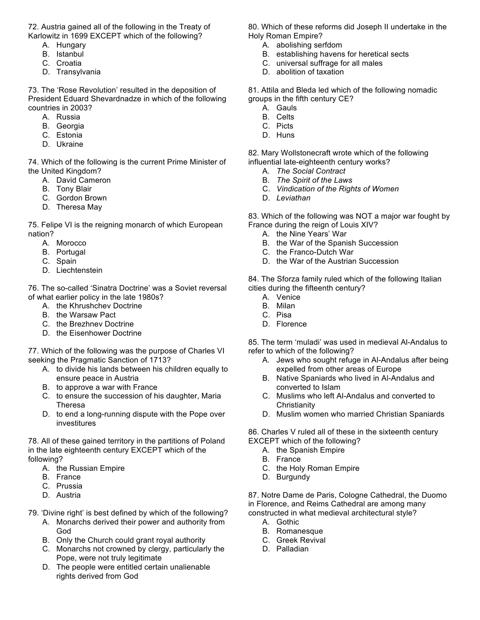72. Austria gained all of the following in the Treaty of Karlowitz in 1699 EXCEPT which of the following?

- A. Hungary
- B. Istanbul
- C. Croatia
- D. Transylvania

73. The 'Rose Revolution' resulted in the deposition of President Eduard Shevardnadze in which of the following countries in 2003?

- A. Russia
- B. Georgia
- C. Estonia
- D. Ukraine

74. Which of the following is the current Prime Minister of the United Kingdom?

- A. David Cameron
- B. Tony Blair
- C. Gordon Brown
- D. Theresa May

75. Felipe VI is the reigning monarch of which European nation?

- A. Morocco
- B. Portugal
- C. Spain
- D. Liechtenstein

76. The so-called 'Sinatra Doctrine' was a Soviet reversal of what earlier policy in the late 1980s?

- A. the Khrushchev Doctrine
- B. the Warsaw Pact
- C. the Brezhnev Doctrine
- D. the Eisenhower Doctrine

77. Which of the following was the purpose of Charles VI seeking the Pragmatic Sanction of 1713?

- A. to divide his lands between his children equally to ensure peace in Austria
- B. to approve a war with France
- C. to ensure the succession of his daughter, Maria Theresa
- D. to end a long-running dispute with the Pope over investitures

78. All of these gained territory in the partitions of Poland in the late eighteenth century EXCEPT which of the following?

- A. the Russian Empire
- B. France
- C. Prussia
- D. Austria
- 79. 'Divine right' is best defined by which of the following?
	- A. Monarchs derived their power and authority from God
	- B. Only the Church could grant royal authority
	- C. Monarchs not crowned by clergy, particularly the Pope, were not truly legitimate
	- D. The people were entitled certain unalienable rights derived from God

80. Which of these reforms did Joseph II undertake in the Holy Roman Empire?

- A. abolishing serfdom
- B. establishing havens for heretical sects
- C. universal suffrage for all males
- D. abolition of taxation

81. Attila and Bleda led which of the following nomadic groups in the fifth century CE?

- A. Gauls
- B. Celts
- C. Picts
- D. Huns

82. Mary Wollstonecraft wrote which of the following influential late-eighteenth century works?

- A. *The Social Contract*
- B. *The Spirit of the Laws*
- C. *Vindication of the Rights of Women*
- D. *Leviathan*

83. Which of the following was NOT a major war fought by France during the reign of Louis XIV?

- A. the Nine Years' War
- B. the War of the Spanish Succession
- C. the Franco-Dutch War
- D. the War of the Austrian Succession

84. The Sforza family ruled which of the following Italian cities during the fifteenth century?

- A. Venice
- B. Milan
- C. Pisa
- D. Florence

85. The term 'muladi' was used in medieval Al-Andalus to refer to which of the following?

- A. Jews who sought refuge in Al-Andalus after being expelled from other areas of Europe
- B. Native Spaniards who lived in Al-Andalus and converted to Islam
- C. Muslims who left Al-Andalus and converted to **Christianity**
- D. Muslim women who married Christian Spaniards

86. Charles V ruled all of these in the sixteenth century EXCEPT which of the following?

- A. the Spanish Empire
- B. France
- C. the Holy Roman Empire
- D. Burgundy

87. Notre Dame de Paris, Cologne Cathedral, the Duomo in Florence, and Reims Cathedral are among many constructed in what medieval architectural style?

- A. Gothic
- B. Romanesque
- C. Greek Revival
- D. Palladian